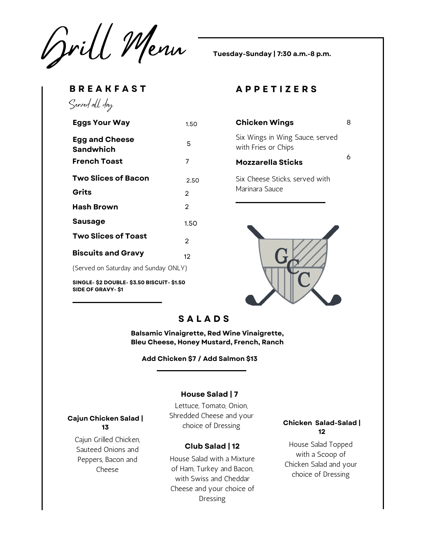Grill Menu

Served all day

| <b>Eggs Your Way</b>                      | 1.50           | <b>Chicken Wings</b>                         |
|-------------------------------------------|----------------|----------------------------------------------|
| <b>Egg and Cheese</b><br><b>Sandwhich</b> | 5              | Six Wings in Wing Sau<br>with Fries or Chips |
| <b>French Toast</b>                       | 7              | <b>Mozzarella Sticks</b>                     |
| <b>Two Slices of Bacon</b>                | 2.50           | Six Cheese Sticks, serv                      |
| Grits                                     | $\mathcal{P}$  | Marinara Sauce                               |
| <b>Hash Brown</b>                         | 2              |                                              |
| <b>Sausage</b>                            | 1.50           |                                              |
| <b>Two Slices of Toast</b>                | $\mathfrak{p}$ |                                              |
| <b>Biscuits and Gravy</b>                 | $12 \,$        |                                              |
| (Served on Saturday and Sunday ONLY)      |                |                                              |
|                                           |                |                                              |

**SINGLE- \$2 DOUBLE- \$3.50 BISCUiT- \$1.50 SIDE OF GRAVY- \$1**

**Tuesday-Sunday | 7:30 a.m.-8 p.m.**

# **B R E A K F A S T A P P E T I Z E R S**

| 1.50 | <b>Chicken Wings</b>                                   |  |
|------|--------------------------------------------------------|--|
| 5    | Six Wings in Wing Sauce, served<br>with Fries or Chips |  |
|      |                                                        |  |
|      | <b>Mozzarella Sticks</b>                               |  |



## **S A L A D S**

**Balsamic Vinaigrette, Red Wine Vinaigrette, Bleu Cheese, Honey Mustard, French, Ranch**

**Add Chicken \$7 / Add Salmon \$13**

#### **House Salad | 7**

#### **Cajun Chicken Salad | 13**

Cajun Grilled Chicken, Sauteed Onions and Peppers, Bacon and Cheese

Lettuce, Tomato, Onion, Shredded Cheese and your choice of Dressing

#### **Club Salad | 12**

House Salad with a Mixture of Ham, Turkey and Bacon, with Swiss and Cheddar Cheese and your choice of Dressing

### **Chicken Salad-Salad | 12**

House Salad Topped with a Scoop of Chicken Salad and your choice of Dressing